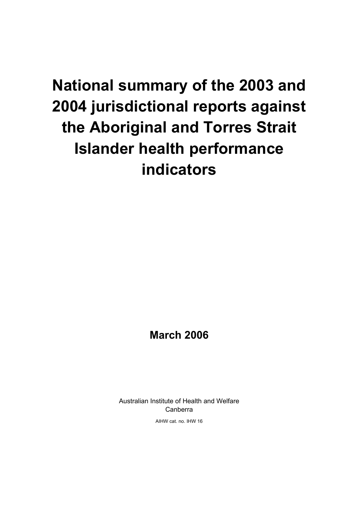## **National summary of the 2003 and 2004 jurisdictional reports against the Aboriginal and Torres Strait Islander health performance indicators**

### **March 2006**

Australian Institute of Health and Welfare Canberra

AIHW cat. no. IHW 16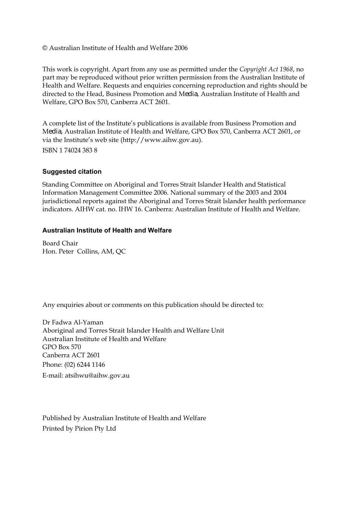© Australian Institute of Health and Welfare 2006

This work is copyright. Apart from any use as permitted under the *Copyright Act 1968*, no part may be reproduced without prior written permission from the Australian Institute of Health and Welfare. Requests and enquiries concerning reproduction and rights should be directed to the Head, Business Promotion and Media, Australian Institute of Health and Welfare, GPO Box 570, Canberra ACT 2601.

A complete list of the Institute's publications is available from Business Promotion and Media, Australian Institute of Health and Welfare, GPO Box 570, Canberra ACT 2601, or via the Institute's web site (http://www.aihw.gov.au). ISBN 1 74024 383 8

#### **Suggested citation**

Standing Committee on Aboriginal and Torres Strait Islander Health and Statistical Information Management Committee 2006. National summary of the 2003 and 2004 jurisdictional reports against the Aboriginal and Torres Strait Islander health performance indicators. AIHW cat. no. IHW 16. Canberra: Australian Institute of Health and Welfare.

#### **Australian Institute of Health and Welfare**

Board Chair Hon. Peter Collins, AM, QC

Any enquiries about or comments on this publication should be directed to:

Dr Fadwa Al-Yaman Aboriginal and Torres Strait Islander Health and Welfare Unit Australian Institute of Health and Welfare GPO Box 570 Canberra ACT 2601 Phone: (02) 6244 1146 E-mail: atsihwu@aihw.gov.au

Published by Australian Institute of Health and Welfare Printed by Pirion Pty Ltd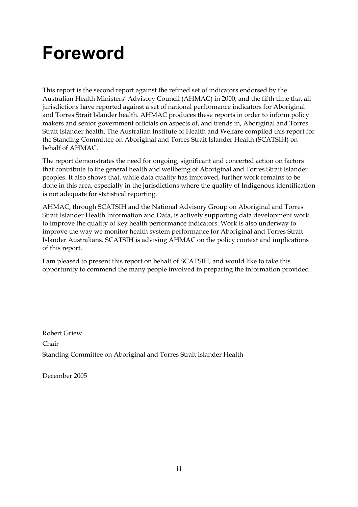## **Foreword**

This report is the second report against the refined set of indicators endorsed by the Australian Health Ministers' Advisory Council (AHMAC) in 2000, and the fifth time that all jurisdictions have reported against a set of national performance indicators for Aboriginal and Torres Strait Islander health. AHMAC produces these reports in order to inform policy makers and senior government officials on aspects of, and trends in, Aboriginal and Torres Strait Islander health. The Australian Institute of Health and Welfare compiled this report for the Standing Committee on Aboriginal and Torres Strait Islander Health (SCATSIH) on behalf of AHMAC.

The report demonstrates the need for ongoing, significant and concerted action on factors that contribute to the general health and wellbeing of Aboriginal and Torres Strait Islander peoples. It also shows that, while data quality has improved, further work remains to be done in this area, especially in the jurisdictions where the quality of Indigenous identification is not adequate for statistical reporting.

AHMAC, through SCATSIH and the National Advisory Group on Aboriginal and Torres Strait Islander Health Information and Data, is actively supporting data development work to improve the quality of key health performance indicators. Work is also underway to improve the way we monitor health system performance for Aboriginal and Torres Strait Islander Australians. SCATSIH is advising AHMAC on the policy context and implications of this report.

I am pleased to present this report on behalf of SCATSIH, and would like to take this opportunity to commend the many people involved in preparing the information provided.

Robert Griew Chair Standing Committee on Aboriginal and Torres Strait Islander Health

December 2005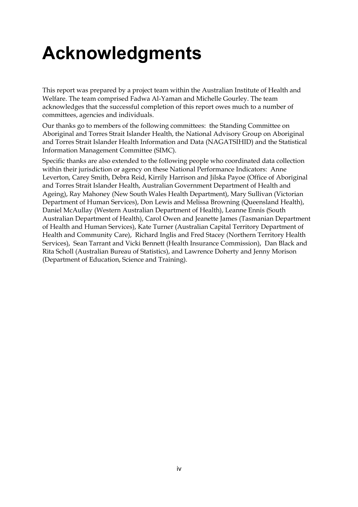## **Acknowledgments**

This report was prepared by a project team within the Australian Institute of Health and Welfare. The team comprised Fadwa Al-Yaman and Michelle Gourley. The team acknowledges that the successful completion of this report owes much to a number of committees, agencies and individuals.

Our thanks go to members of the following committees: the Standing Committee on Aboriginal and Torres Strait Islander Health, the National Advisory Group on Aboriginal and Torres Strait Islander Health Information and Data (NAGATSIHID) and the Statistical Information Management Committee (SIMC).

Specific thanks are also extended to the following people who coordinated data collection within their jurisdiction or agency on these National Performance Indicators: Anne Leverton, Carey Smith, Debra Reid, Kirrily Harrison and Jilska Payoe (Office of Aboriginal and Torres Strait Islander Health, Australian Government Department of Health and Ageing), Ray Mahoney (New South Wales Health Department), Mary Sullivan (Victorian Department of Human Services), Don Lewis and Melissa Browning (Queensland Health), Daniel McAullay (Western Australian Department of Health), Leanne Ennis (South Australian Department of Health), Carol Owen and Jeanette James (Tasmanian Department of Health and Human Services), Kate Turner (Australian Capital Territory Department of Health and Community Care), Richard Inglis and Fred Stacey (Northern Territory Health Services), Sean Tarrant and Vicki Bennett (Health Insurance Commission), Dan Black and Rita Scholl (Australian Bureau of Statistics), and Lawrence Doherty and Jenny Morison (Department of Education, Science and Training).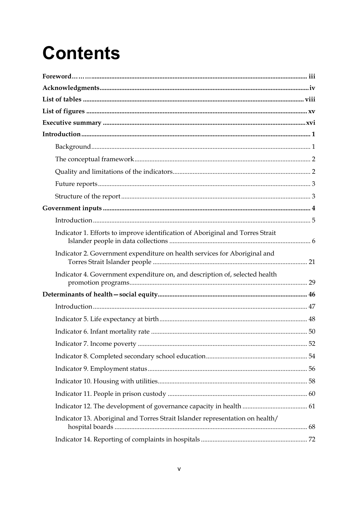# **Contents**

| Indicator 1. Efforts to improve identification of Aboriginal and Torres Strait |
|--------------------------------------------------------------------------------|
| Indicator 2. Government expenditure on health services for Aboriginal and      |
| Indicator 4. Government expenditure on, and description of, selected health    |
|                                                                                |
|                                                                                |
|                                                                                |
|                                                                                |
|                                                                                |
|                                                                                |
|                                                                                |
|                                                                                |
|                                                                                |
|                                                                                |
| Indicator 13. Aboriginal and Torres Strait Islander representation on health/  |
|                                                                                |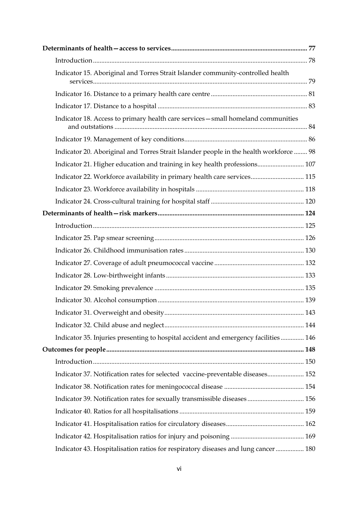| Indicator 15. Aboriginal and Torres Strait Islander community-controlled health        |  |
|----------------------------------------------------------------------------------------|--|
|                                                                                        |  |
|                                                                                        |  |
| Indicator 18. Access to primary health care services - small homeland communities      |  |
|                                                                                        |  |
| Indicator 20. Aboriginal and Torres Strait Islander people in the health workforce  98 |  |
| Indicator 21. Higher education and training in key health professions 107              |  |
| Indicator 22. Workforce availability in primary health care services 115               |  |
|                                                                                        |  |
|                                                                                        |  |
|                                                                                        |  |
|                                                                                        |  |
|                                                                                        |  |
|                                                                                        |  |
|                                                                                        |  |
|                                                                                        |  |
|                                                                                        |  |
|                                                                                        |  |
|                                                                                        |  |
|                                                                                        |  |
| Indicator 35. Injuries presenting to hospital accident and emergency facilities 146    |  |
|                                                                                        |  |
|                                                                                        |  |
| Indicator 37. Notification rates for selected vaccine-preventable diseases 152         |  |
|                                                                                        |  |
| Indicator 39. Notification rates for sexually transmissible diseases 156               |  |
|                                                                                        |  |
|                                                                                        |  |
|                                                                                        |  |
| Indicator 43. Hospitalisation ratios for respiratory diseases and lung cancer 180      |  |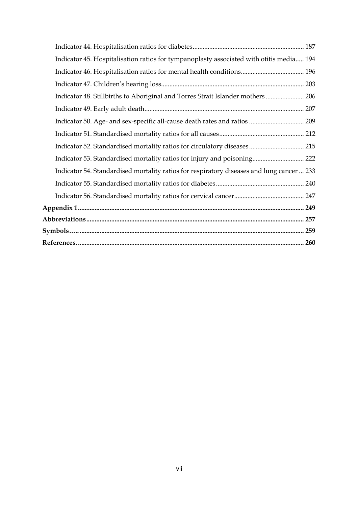| Indicator 45. Hospitalisation ratios for tympanoplasty associated with otitis media 194   |  |
|-------------------------------------------------------------------------------------------|--|
| Indicator 46. Hospitalisation ratios for mental health conditions 196                     |  |
|                                                                                           |  |
| Indicator 48. Stillbirths to Aboriginal and Torres Strait Islander mothers 206            |  |
|                                                                                           |  |
|                                                                                           |  |
|                                                                                           |  |
| Indicator 52. Standardised mortality ratios for circulatory diseases 215                  |  |
| Indicator 53. Standardised mortality ratios for injury and poisoning 222                  |  |
| Indicator 54. Standardised mortality ratios for respiratory diseases and lung cancer  233 |  |
|                                                                                           |  |
|                                                                                           |  |
|                                                                                           |  |
|                                                                                           |  |
|                                                                                           |  |
|                                                                                           |  |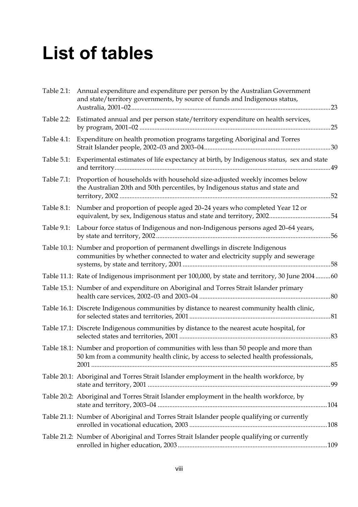## **List of tables**

| Table 2.1: | Annual expenditure and expenditure per person by the Australian Government<br>and state/territory governments, by source of funds and Indigenous status,                     |     |
|------------|------------------------------------------------------------------------------------------------------------------------------------------------------------------------------|-----|
| Table 2.2: | Estimated annual and per person state/territory expenditure on health services,                                                                                              |     |
| Table 4.1: | Expenditure on health promotion programs targeting Aboriginal and Torres                                                                                                     |     |
| Table 5.1: | Experimental estimates of life expectancy at birth, by Indigenous status, sex and state                                                                                      |     |
| Table 7.1: | Proportion of households with household size-adjusted weekly incomes below<br>the Australian 20th and 50th percentiles, by Indigenous status and state and                   |     |
| Table 8.1: | Number and proportion of people aged 20-24 years who completed Year 12 or<br>equivalent, by sex, Indigenous status and state and territory, 200254                           |     |
| Table 9.1: | Labour force status of Indigenous and non-Indigenous persons aged 20-64 years,                                                                                               |     |
|            | Table 10.1: Number and proportion of permanent dwellings in discrete Indigenous<br>communities by whether connected to water and electricity supply and sewerage             |     |
|            | Table 11.1: Rate of Indigenous imprisonment per 100,000, by state and territory, 30 June 200460                                                                              |     |
|            | Table 15.1: Number of and expenditure on Aboriginal and Torres Strait Islander primary                                                                                       | .80 |
|            | Table 16.1: Discrete Indigenous communities by distance to nearest community health clinic,                                                                                  |     |
|            | Table 17.1: Discrete Indigenous communities by distance to the nearest acute hospital, for                                                                                   |     |
|            | Table 18.1: Number and proportion of communities with less than 50 people and more than<br>50 km from a community health clinic, by access to selected health professionals, |     |
|            | Table 20.1: Aboriginal and Torres Strait Islander employment in the health workforce, by                                                                                     |     |
|            | Table 20.2: Aboriginal and Torres Strait Islander employment in the health workforce, by                                                                                     |     |
|            | Table 21.1: Number of Aboriginal and Torres Strait Islander people qualifying or currently                                                                                   |     |
|            | Table 21.2: Number of Aboriginal and Torres Strait Islander people qualifying or currently                                                                                   |     |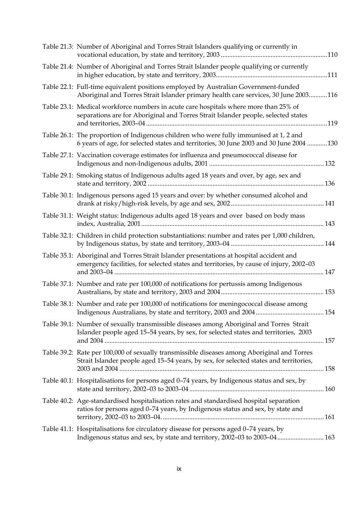| Table 21.3: Number of Aboriginal and Torres Strait Islanders qualifying or currently in                                                                                              |      |
|--------------------------------------------------------------------------------------------------------------------------------------------------------------------------------------|------|
| Table 21.4: Number of Aboriginal and Torres Strait Islander people qualifying or currently                                                                                           |      |
| Table 22.1: Full-time equivalent positions employed by Australian Government-funded<br>Aboriginal and Torres Strait Islander primary health care services, 30 June 2003116           |      |
| Table 23.1: Medical workforce numbers in acute care hospitals where more than 25% of<br>separations are for Aboriginal and Torres Strait Islander people, selected states            | .119 |
| Table 26.1: The proportion of Indigenous children who were fully immunised at 1, 2 and<br>6 years of age, for selected states and territories, 30 June 2003 and 30 June 2004 130     |      |
| Table 27.1: Vaccination coverage estimates for influenza and pneumococcal disease for                                                                                                |      |
| Table 29.1: Smoking status of Indigenous adults aged 18 years and over, by age, sex and                                                                                              |      |
| Table 30.1: Indigenous persons aged 15 years and over: by whether consumed alcohol and                                                                                               |      |
| Table 31.1: Weight status: Indigenous adults aged 18 years and over based on body mass                                                                                               |      |
| Table 32.1: Children in child protection substantiations: number and rates per 1,000 children,                                                                                       |      |
| Table 35.1: Aboriginal and Torres Strait Islander presentations at hospital accident and<br>emergency facilities, for selected states and territories, by cause of injury, 2002-03   |      |
| Table 37.1: Number and rate per 100,000 of notifications for pertussis among Indigenous                                                                                              |      |
| Table 38.1: Number and rate per 100,000 of notifications for meningococcal disease among                                                                                             |      |
| Table 39.1: Number of sexually transmissible diseases among Aboriginal and Torres Strait<br>Islander people aged 15-54 years, by sex, for selected states and territories, 2003      |      |
| Table 39.2: Rate per 100,000 of sexually transmissible diseases among Aboriginal and Torres<br>Strait Islander people aged 15-54 years, by sex, for selected states and territories, |      |
| Table 40.1: Hospitalisations for persons aged 0-74 years, by Indigenous status and sex, by                                                                                           |      |
| Table 40.2: Age-standardised hospitalisation rates and standardised hospital separation<br>ratios for persons aged 0-74 years, by Indigenous status and sex, by state and            |      |
| Table 41.1: Hospitalisations for circulatory disease for persons aged 0-74 years, by<br>Indigenous status and sex, by state and territory, 2002-03 to 2003-04 163                    |      |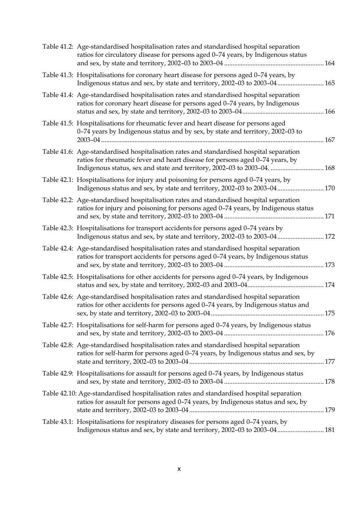| Table 41.2: Age-standardised hospitalisation rates and standardised hospital separation<br>ratios for circulatory disease for persons aged 0-74 years, by Indigenous status                                                                         |  |
|-----------------------------------------------------------------------------------------------------------------------------------------------------------------------------------------------------------------------------------------------------|--|
| Table 41.3: Hospitalisations for coronary heart disease for persons aged 0-74 years, by<br>Indigenous status and sex, by state and territory, 2002-03 to 2003-04 165                                                                                |  |
| Table 41.4: Age-standardised hospitalisation rates and standardised hospital separation<br>ratios for coronary heart disease for persons aged 0-74 years, by Indigenous                                                                             |  |
| Table 41.5: Hospitalisations for rheumatic fever and heart disease for persons aged<br>0-74 years by Indigenous status and by sex, by state and territory, 2002-03 to                                                                               |  |
| Table 41.6: Age-standardised hospitalisation rates and standardised hospital separation<br>ratios for rheumatic fever and heart disease for persons aged 0-74 years, by<br>Indigenous status, sex and state and territory, 2002-03 to 2003-04.  168 |  |
| Table 42.1: Hospitalisations for injury and poisoning for persons aged 0-74 years, by<br>Indigenous status and sex, by state and territory, 2002-03 to 2003-04 170                                                                                  |  |
| Table 42.2: Age-standardised hospitalisation rates and standardised hospital separation<br>ratios for injury and poisoning for persons aged 0-74 years, by Indigenous status                                                                        |  |
| Table 42.3: Hospitalisations for transport accidents for persons aged 0-74 years by<br>Indigenous status and sex, by state and territory, 2002-03 to 2003-04 172                                                                                    |  |
| Table 42.4: Age-standardised hospitalisation rates and standardised hospital separation<br>ratios for transport accidents for persons aged 0-74 years, by Indigenous status                                                                         |  |
| Table 42.5: Hospitalisations for other accidents for persons aged 0-74 years, by Indigenous                                                                                                                                                         |  |
| Table 42.6: Age-standardised hospitalisation rates and standardised hospital separation<br>ratios for other accidents for persons aged 0-74 years, by Indigenous status and                                                                         |  |
| Table 42.7: Hospitalisations for self-harm for persons aged 0-74 years, by Indigenous status                                                                                                                                                        |  |
| Table 42.8: Age-standardised hospitalisation rates and standardised hospital separation<br>ratios for self-harm for persons aged 0-74 years, by Indigenous status and sex, by                                                                       |  |
| Table 42.9: Hospitalisations for assault for persons aged 0-74 years, by Indigenous status                                                                                                                                                          |  |
| Table 42.10: Age-standardised hospitalisation rates and standardised hospital separation<br>ratios for assault for persons aged 0-74 years, by Indigenous status and sex, by                                                                        |  |
| Table 43.1: Hospitalisations for respiratory diseases for persons aged 0-74 years, by<br>Indigenous status and sex, by state and territory, 2002-03 to 2003-04 181                                                                                  |  |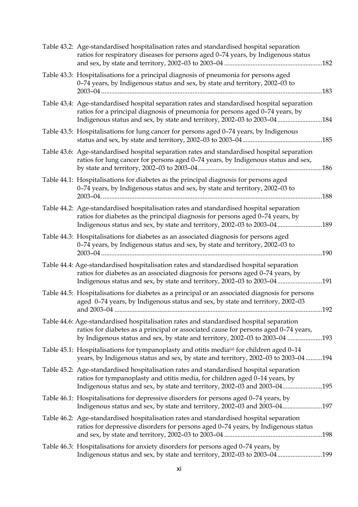| Table 43.2: Age-standardised hospitalisation rates and standardised hospital separation<br>ratios for respiratory diseases for persons aged 0-74 years, by Indigenous status                                                                                   |      |
|----------------------------------------------------------------------------------------------------------------------------------------------------------------------------------------------------------------------------------------------------------------|------|
| Table 43.3: Hospitalisations for a principal diagnosis of pneumonia for persons aged<br>0-74 years, by Indigenous status and sex, by state and territory, 2002-03 to                                                                                           | .183 |
| Table 43.4: Age-standardised hospital separation rates and standardised hospital separation<br>ratios for a principal diagnosis of pneumonia for persons aged 0-74 years, by<br>Indigenous status and sex, by state and territory, 2002-03 to 2003-04184       |      |
| Table 43.5: Hospitalisations for lung cancer for persons aged 0-74 years, by Indigenous                                                                                                                                                                        |      |
| Table 43.6: Age-standardised hospital separation rates and standardised hospital separation<br>ratios for lung cancer for persons aged 0-74 years, by Indigenous status and sex,                                                                               |      |
| Table 44.1: Hospitalisations for diabetes as the principal diagnosis for persons aged<br>0-74 years, by Indigenous status and sex, by state and territory, 2002-03 to                                                                                          | .188 |
| Table 44.2: Age-standardised hospitalisation rates and standardised hospital separation<br>ratios for diabetes as the principal diagnosis for persons aged 0-74 years, by<br>Indigenous status and sex, by state and territory, 2002-03 to 2003-04             | .189 |
| Table 44.3: Hospitalisations for diabetes as an associated diagnosis for persons aged<br>0-74 years, by Indigenous status and sex, by state and territory, 2002-03 to                                                                                          | 190  |
| Table 44.4: Age-standardised hospitalisation rates and standardised hospital separation<br>ratios for diabetes as an associated diagnosis for persons aged 0-74 years, by<br>Indigenous status and sex, by state and territory, 2002-03 to 2003-04191          |      |
| Table 44.5: Hospitalisations for diabetes as a principal or an associated diagnosis for persons<br>aged 0-74 years, by Indigenous status and sex, by state and territory, 2002-03                                                                              | .192 |
| Table 44.6: Age-standardised hospitalisation rates and standardised hospital separation<br>ratios for diabetes as a principal or associated cause for persons aged 0-74 years,<br>by Indigenous status and sex, by state and territory, 2002-03 to 2003-04 193 |      |
| Table 45.1: Hospitalisations for tympanoplasty and otitis media <sup>(a)</sup> for children aged 0-14<br>years, by Indigenous status and sex, by state and territory, 2002-03 to 2003-04 194                                                                   |      |
| Table 45.2: Age-standardised hospitalisation rates and standardised hospital separation<br>ratios for tympanoplasty and otitis media, for children aged 0-14 years, by<br>Indigenous status and sex, by state and territory, 2002-03 and 2003-04195            |      |
| Table 46.1: Hospitalisations for depressive disorders for persons aged 0-74 years, by<br>Indigenous status and sex, by state and territory, 2002-03 and 2003-04197                                                                                             |      |
| Table 46.2: Age-standardised hospitalisation rates and standardised hospital separation<br>ratios for depressive disorders for persons aged 0-74 years, by Indigenous status                                                                                   |      |
| Table 46.3: Hospitalisations for anxiety disorders for persons aged 0-74 years, by<br>Indigenous status and sex, by state and territory, 2002-03 to 2003-04199                                                                                                 |      |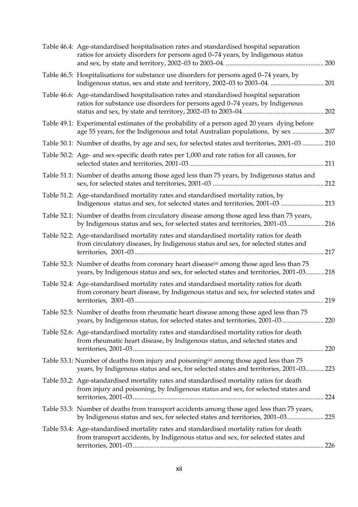| Table 46.4: Age-standardised hospitalisation rates and standardised hospital separation<br>ratios for anxiety disorders for persons aged 0-74 years, by Indigenous status                  | 200   |
|--------------------------------------------------------------------------------------------------------------------------------------------------------------------------------------------|-------|
| Table 46.5: Hospitalisations for substance use disorders for persons aged 0-74 years, by<br>Indigenous status, sex and state and territory, 2002-03 to 2003-04.  201                       |       |
| Table 46.6: Age-standardised hospitalisation rates and standardised hospital separation<br>ratios for substance use disorders for persons aged 0-74 years, by Indigenous                   | 202   |
| Table 49.1: Experimental estimates of the probability of a person aged 20 years dying before<br>age 55 years, for the Indigenous and total Australian populations, by sex                  | 207   |
| Table 50.1: Number of deaths, by age and sex, for selected states and territories, 2001-03  210                                                                                            |       |
| Table 50.2: Age- and sex-specific death rates per 1,000 and rate ratios for all causes, for                                                                                                | 211   |
| Table 51.1: Number of deaths among those aged less than 75 years, by Indigenous status and                                                                                                 | 212   |
| Table 51.2: Age-standardised mortality rates and standardised mortality ratios, by<br>Indigenous status and sex, for selected states and territories, 2001-03  213                         |       |
| Table 52.1: Number of deaths from circulatory disease among those aged less than 75 years,<br>by Indigenous status and sex, for selected states and territories, 2001-03 216               |       |
| Table 52.2: Age-standardised mortality rates and standardised mortality ratios for death<br>from circulatory diseases, by Indigenous status and sex, for selected states and               | 217   |
| Table 52.3: Number of deaths from coronary heart disease <sup>(a)</sup> among those aged less than 75<br>years, by Indigenous status and sex, for selected states and territories, 2001-03 | 218   |
| Table 52.4: Age-standardised mortality rates and standardised mortality ratios for death<br>from coronary heart disease, by Indigenous status and sex, for selected states and             | 219   |
| Table 52.5: Number of deaths from rheumatic heart disease among those aged less than 75<br>years, by Indigenous status, for selected states and territories, 2001-03 220                   |       |
| Table 52.6: Age-standardised mortality rates and standardised mortality ratios for death<br>from rheumatic heart disease, by Indigenous status, and selected states and                    |       |
| Table 53.1: Number of deaths from injury and poisoning <sup>(a)</sup> among those aged less than 75<br>years, by Indigenous status and sex, for selected states and territories, 2001-03   | 223   |
| Table 53.2: Age-standardised mortality rates and standardised mortality ratios for death<br>from injury and poisoning, by Indigenous status and sex, for selected states and               | . 224 |
| Table 53.3: Number of deaths from transport accidents among those aged less than 75 years,<br>by Indigenous status and sex, for selected states and territories, 2001-03                   | 225   |
| Table 53.4: Age-standardised mortality rates and standardised mortality ratios for death<br>from transport accidents, by Indigenous status and sex, for selected states and                |       |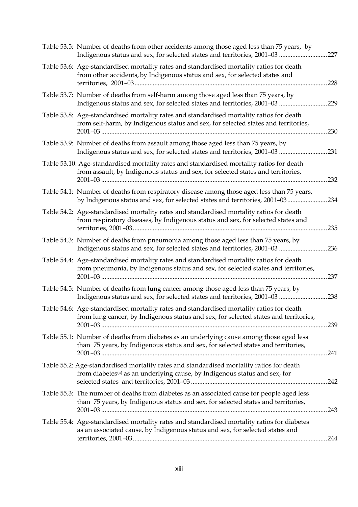| Table 53.5: Number of deaths from other accidents among those aged less than 75 years, by<br>Indigenous status and sex, for selected states and territories, 2001-03               | .227 |
|------------------------------------------------------------------------------------------------------------------------------------------------------------------------------------|------|
| Table 53.6: Age-standardised mortality rates and standardised mortality ratios for death<br>from other accidents, by Indigenous status and sex, for selected states and            | .228 |
| Table 53.7: Number of deaths from self-harm among those aged less than 75 years, by<br>Indigenous status and sex, for selected states and territories, 2001-03                     | .229 |
| Table 53.8: Age-standardised mortality rates and standardised mortality ratios for death<br>from self-harm, by Indigenous status and sex, for selected states and territories,     | 230  |
| Table 53.9: Number of deaths from assault among those aged less than 75 years, by<br>Indigenous status and sex, for selected states and territories, 2001-03                       | .231 |
| Table 53.10: Age-standardised mortality rates and standardised mortality ratios for death<br>from assault, by Indigenous status and sex, for selected states and territories,      | 232  |
| Table 54.1: Number of deaths from respiratory disease among those aged less than 75 years,<br>by Indigenous status and sex, for selected states and territories, 2001-03           | .234 |
| Table 54.2: Age-standardised mortality rates and standardised mortality ratios for death<br>from respiratory diseases, by Indigenous status and sex, for selected states and       | 235  |
| Table 54.3: Number of deaths from pneumonia among those aged less than 75 years, by<br>Indigenous status and sex, for selected states and territories, 2001-03 236                 |      |
| Table 54.4: Age-standardised mortality rates and standardised mortality ratios for death<br>from pneumonia, by Indigenous status and sex, for selected states and territories,     | .237 |
| Table 54.5: Number of deaths from lung cancer among those aged less than 75 years, by<br>Indigenous status and sex, for selected states and territories, 2001-03                   | .238 |
| Table 54.6: Age-standardised mortality rates and standardised mortality ratios for death<br>from lung cancer, by Indigenous status and sex, for selected states and territories,   | .239 |
| Table 55.1: Number of deaths from diabetes as an underlying cause among those aged less<br>than 75 years, by Indigenous status and sex, for selected states and territories,       |      |
| Table 55.2: Age-standardised mortality rates and standardised mortality ratios for death<br>from diabetes <sup>(a)</sup> as an underlying cause, by Indigenous status and sex, for |      |
| Table 55.3: The number of deaths from diabetes as an associated cause for people aged less<br>than 75 years, by Indigenous status and sex, for selected states and territories,    | .243 |
| Table 55.4: Age-standardised mortality rates and standardised mortality ratios for diabetes<br>as an associated cause, by Indigenous status and sex, for selected states and       |      |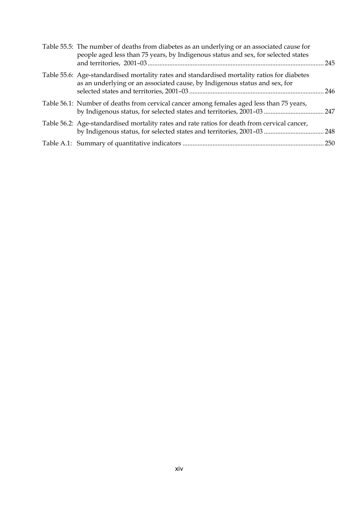| Table 55.5: The number of deaths from diabetes as an underlying or an associated cause for<br>people aged less than 75 years, by Indigenous status and sex, for selected states | 245 |
|---------------------------------------------------------------------------------------------------------------------------------------------------------------------------------|-----|
| Table 55.6: Age-standardised mortality rates and standardised mortality ratios for diabetes<br>as an underlying or an associated cause, by Indigenous status and sex, for       |     |
| Table 56.1: Number of deaths from cervical cancer among females aged less than 75 years,                                                                                        |     |
| Table 56.2: Age-standardised mortality rates and rate ratios for death from cervical cancer,                                                                                    |     |
|                                                                                                                                                                                 |     |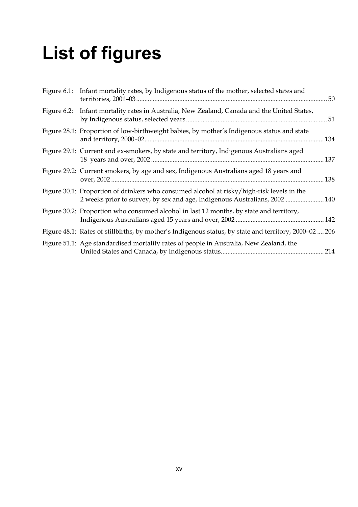## **List of figures**

| Figure 6.1: Infant mortality rates, by Indigenous status of the mother, selected states and                                                                             | 50   |
|-------------------------------------------------------------------------------------------------------------------------------------------------------------------------|------|
| Figure 6.2: Infant mortality rates in Australia, New Zealand, Canada and the United States,                                                                             |      |
| Figure 28.1: Proportion of low-birthweight babies, by mother's Indigenous status and state                                                                              | .134 |
| Figure 29.1: Current and ex-smokers, by state and territory, Indigenous Australians aged                                                                                |      |
| Figure 29.2: Current smokers, by age and sex, Indigenous Australians aged 18 years and                                                                                  | 138  |
| Figure 30.1: Proportion of drinkers who consumed alcohol at risky/high-risk levels in the<br>2 weeks prior to survey, by sex and age, Indigenous Australians, 2002  140 |      |
| Figure 30.2: Proportion who consumed alcohol in last 12 months, by state and territory,                                                                                 |      |
| Figure 48.1: Rates of stillbirths, by mother's Indigenous status, by state and territory, 2000-02  206                                                                  |      |
| Figure 51.1: Age standardised mortality rates of people in Australia, New Zealand, the                                                                                  |      |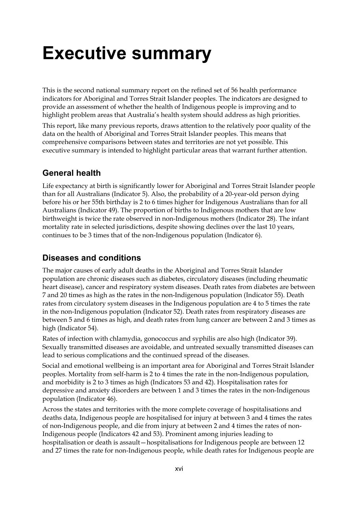## **Executive summary**

This is the second national summary report on the refined set of 56 health performance indicators for Aboriginal and Torres Strait Islander peoples. The indicators are designed to provide an assessment of whether the health of Indigenous people is improving and to highlight problem areas that Australia's health system should address as high priorities.

This report, like many previous reports, draws attention to the relatively poor quality of the data on the health of Aboriginal and Torres Strait Islander peoples. This means that comprehensive comparisons between states and territories are not yet possible. This executive summary is intended to highlight particular areas that warrant further attention.

### **General health**

Life expectancy at birth is significantly lower for Aboriginal and Torres Strait Islander people than for all Australians (Indicator 5). Also, the probability of a 20-year-old person dying before his or her 55th birthday is 2 to 6 times higher for Indigenous Australians than for all Australians (Indicator 49). The proportion of births to Indigenous mothers that are low birthweight is twice the rate observed in non-Indigenous mothers (Indicator 28). The infant mortality rate in selected jurisdictions, despite showing declines over the last 10 years, continues to be 3 times that of the non-Indigenous population (Indicator 6).

### **Diseases and conditions**

The major causes of early adult deaths in the Aboriginal and Torres Strait Islander population are chronic diseases such as diabetes, circulatory diseases (including rheumatic heart disease), cancer and respiratory system diseases. Death rates from diabetes are between 7 and 20 times as high as the rates in the non-Indigenous population (Indicator 55). Death rates from circulatory system diseases in the Indigenous population are 4 to 5 times the rate in the non-Indigenous population (Indicator 52). Death rates from respiratory diseases are between 5 and 6 times as high, and death rates from lung cancer are between 2 and 3 times as high (Indicator 54).

Rates of infection with chlamydia, gonococcus and syphilis are also high (Indicator 39). Sexually transmitted diseases are avoidable, and untreated sexually transmitted diseases can lead to serious complications and the continued spread of the diseases.

Social and emotional wellbeing is an important area for Aboriginal and Torres Strait Islander peoples. Mortality from self-harm is 2 to 4 times the rate in the non-Indigenous population, and morbidity is 2 to 3 times as high (Indicators 53 and 42). Hospitalisation rates for depressive and anxiety disorders are between 1 and 3 times the rates in the non-Indigenous population (Indicator 46).

Across the states and territories with the more complete coverage of hospitalisations and deaths data, Indigenous people are hospitalised for injury at between 3 and 4 times the rates of non-Indigenous people, and die from injury at between 2 and 4 times the rates of non-Indigenous people (Indicators 42 and 53). Prominent among injuries leading to hospitalisation or death is assault—hospitalisations for Indigenous people are between 12 and 27 times the rate for non-Indigenous people, while death rates for Indigenous people are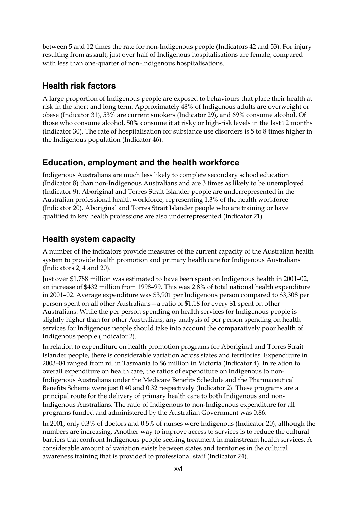between 5 and 12 times the rate for non-Indigenous people (Indicators 42 and 53). For injury resulting from assault, just over half of Indigenous hospitalisations are female, compared with less than one-quarter of non-Indigenous hospitalisations.

### **Health risk factors**

A large proportion of Indigenous people are exposed to behaviours that place their health at risk in the short and long term. Approximately 48% of Indigenous adults are overweight or obese (Indicator 31), 53% are current smokers (Indicator 29), and 69% consume alcohol. Of those who consume alcohol, 50% consume it at risky or high-risk levels in the last 12 months (Indicator 30). The rate of hospitalisation for substance use disorders is 5 to 8 times higher in the Indigenous population (Indicator 46).

### **Education, employment and the health workforce**

Indigenous Australians are much less likely to complete secondary school education (Indicator 8) than non-Indigenous Australians and are 3 times as likely to be unemployed (Indicator 9). Aboriginal and Torres Strait Islander people are underrepresented in the Australian professional health workforce, representing 1.3% of the health workforce (Indicator 20). Aboriginal and Torres Strait Islander people who are training or have qualified in key health professions are also underrepresented (Indicator 21).

### **Health system capacity**

A number of the indicators provide measures of the current capacity of the Australian health system to provide health promotion and primary health care for Indigenous Australians (Indicators 2, 4 and 20).

Just over \$1,788 million was estimated to have been spent on Indigenous health in 2001–02, an increase of \$432 million from 1998–99. This was 2.8% of total national health expenditure in 2001–02. Average expenditure was \$3,901 per Indigenous person compared to \$3,308 per person spent on all other Australians—a ratio of \$1.18 for every \$1 spent on other Australians. While the per person spending on health services for Indigenous people is slightly higher than for other Australians, any analysis of per person spending on health services for Indigenous people should take into account the comparatively poor health of Indigenous people (Indicator 2).

In relation to expenditure on health promotion programs for Aboriginal and Torres Strait Islander people, there is considerable variation across states and territories. Expenditure in 2003–04 ranged from nil in Tasmania to \$6 million in Victoria (Indicator 4). In relation to overall expenditure on health care, the ratios of expenditure on Indigenous to non-Indigenous Australians under the Medicare Benefits Schedule and the Pharmaceutical Benefits Scheme were just 0.40 and 0.32 respectively (Indicator 2). These programs are a principal route for the delivery of primary health care to both Indigenous and non-Indigenous Australians. The ratio of Indigenous to non-Indigenous expenditure for all programs funded and administered by the Australian Government was 0.86.

In 2001, only 0.3% of doctors and 0.5% of nurses were Indigenous (Indicator 20), although the numbers are increasing. Another way to improve access to services is to reduce the cultural barriers that confront Indigenous people seeking treatment in mainstream health services. A considerable amount of variation exists between states and territories in the cultural awareness training that is provided to professional staff (Indicator 24).